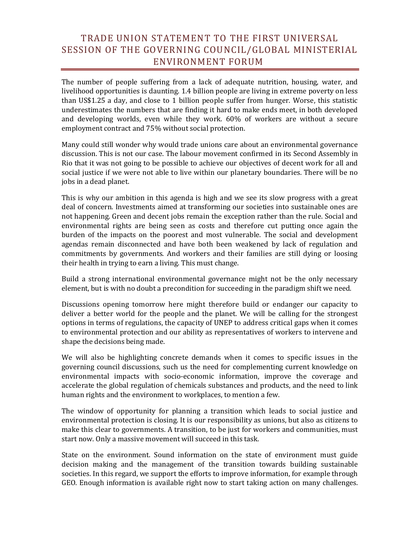## TRADE UNION STATEMENT TO THE FIRST UNIVERSAL SESSION OF THE GOVERNING COUNCIL/GLOBAL MINISTERIAL ENVIRONMENT FORUM

The number of people suffering from a lack of adequate nutrition, housing, water, and livelihood opportunities is daunting. 1.4 billion people are living in extreme poverty on less than US\$1.25 a day, and close to 1 billion people suffer from hunger. Worse, this statistic underestimates the numbers that are finding it hard to make ends meet, in both developed and developing worlds, even while they work. 60% of workers are without a secure employment contract and 75% without social protection.

Many could still wonder why would trade unions care about an environmental governance discussion. This is not our case. The labour movement confirmed in its Second Assembly in Rio that it was not going to be possible to achieve our objectives of decent work for all and social justice if we were not able to live within our planetary boundaries. There will be no jobs in a dead planet.

This is why our ambition in this agenda is high and we see its slow progress with a great deal of concern. Investments aimed at transforming our societies into sustainable ones are not happening. Green and decent jobs remain the exception rather than the rule. Social and environmental rights are being seen as costs and therefore cut putting once again the burden of the impacts on the poorest and most vulnerable. The social and development agendas remain disconnected and have both been weakened by lack of regulation and commitments by governments. And workers and their families are still dying or loosing their health in trying to earn a living. This must change.

Build a strong international environmental governance might not be the only necessary element, but is with no doubt a precondition for succeeding in the paradigm shift we need.

Discussions opening tomorrow here might therefore build or endanger our capacity to deliver a better world for the people and the planet. We will be calling for the strongest options in terms of regulations, the capacity of UNEP to address critical gaps when it comes to environmental protection and our ability as representatives of workers to intervene and shape the decisions being made.

We will also be highlighting concrete demands when it comes to specific issues in the governing council discussions, such us the need for complementing current knowledge on environmental impacts with socio-economic information, improve the coverage and accelerate the global regulation of chemicals substances and products, and the need to link human rights and the environment to workplaces, to mention a few.

The window of opportunity for planning a transition which leads to social justice and environmental protection is closing. It is our responsibility as unions, but also as citizens to make this clear to governments. A transition, to be just for workers and communities, must start now. Only a massive movement will succeed in this task.

State on the environment. Sound information on the state of environment must guide decision making and the management of the transition towards building sustainable societies. In this regard, we support the efforts to improve information, for example through GEO. Enough information is available right now to start taking action on many challenges.